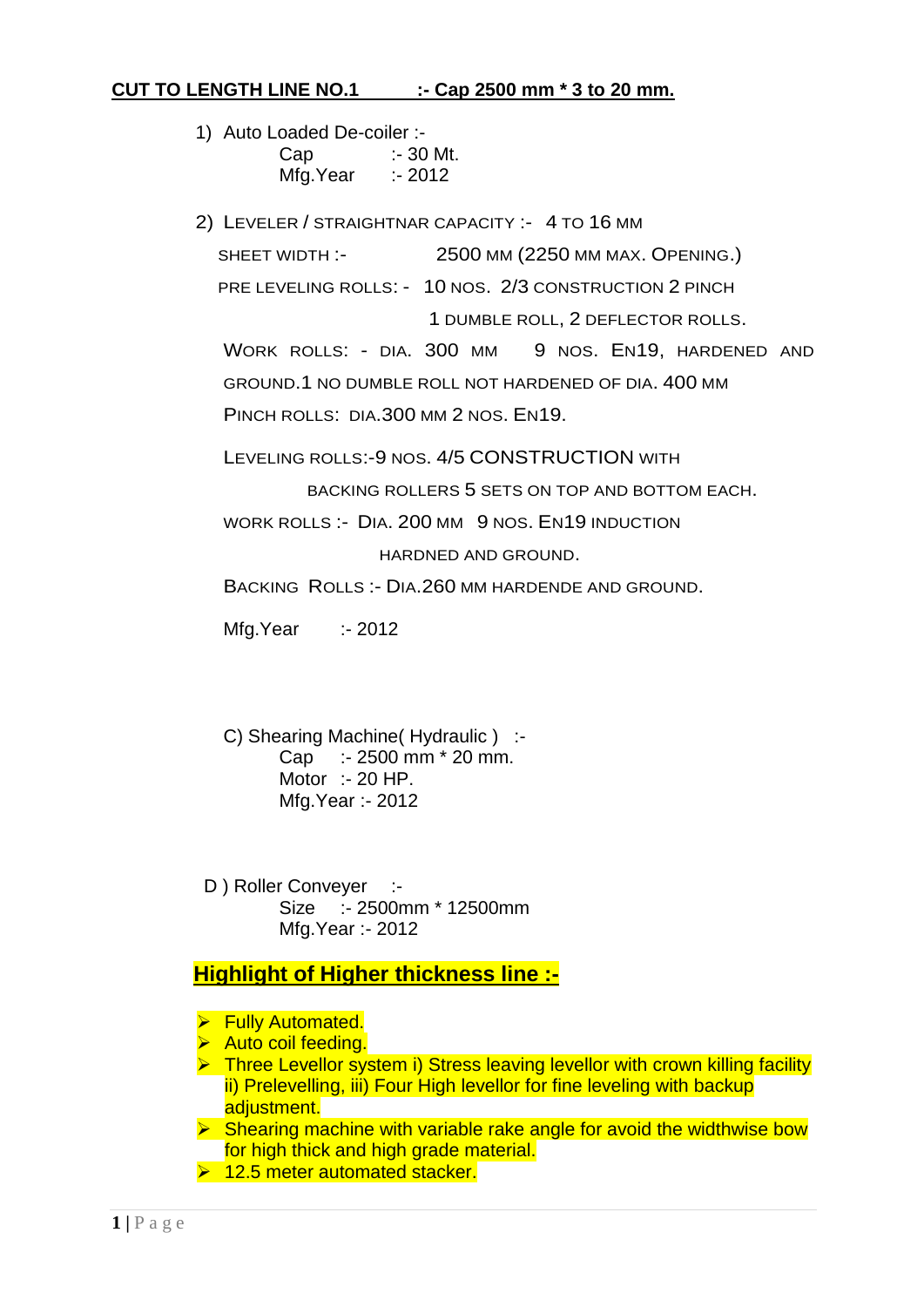# **CUT TO LENGTH LINE NO.1 :- Cap 2500 mm \* 3 to 20 mm.**

- 1) Auto Loaded De-coiler :- Cap :- 30 Mt. Mfg.Year :- 2012
- 2) LEVELER / STRAIGHTNAR CAPACITY :- 4 TO 16 MM

SHEET WIDTH :- 2500 MM (2250 MM MAX. OPENING.)

PRE LEVELING ROLLS: - 10 NOS. 2/3 CONSTRUCTION 2 PINCH

1 DUMBLE ROLL, 2 DEFLECTOR ROLLS.

WORK ROLLS: - DIA. 300 MM 9 NOS. EN19, HARDENED AND GROUND.1 NO DUMBLE ROLL NOT HARDENED OF DIA. 400 MM PINCH ROLLS: DIA.300 MM 2 NOS. EN19.

LEVELING ROLLS:-9 NOS. 4/5 CONSTRUCTION WITH

BACKING ROLLERS 5 SETS ON TOP AND BOTTOM EACH.

WORK ROLLS :- DIA. 200 MM 9 NOS. EN19 INDUCTION

HARDNED AND GROUND.

BACKING ROLLS :- DIA.260 MM HARDENDE AND GROUND.

Mfg.Year :- 2012

- C) Shearing Machine( Hydraulic ) :- Cap :- 2500 mm \* 20 mm. Motor :- 20 HP. Mfg.Year :- 2012
- D ) Roller Conveyer :-Size :- 2500mm \* 12500mm Mfg.Year :- 2012

# **Highlight of Higher thickness line :-**

- **Fully Automated.**
- $\triangleright$  Auto coil feeding.
- ▶ Three Levellor system i) Stress leaving levellor with crown killing facility ii) Prelevelling, iii) Four High levellor for fine leveling with backup adjustment.

 $\triangleright$  Shearing machine with variable rake angle for avoid the widthwise bow for high thick and high grade material.

 $\geq 12.5$  meter automated stacker.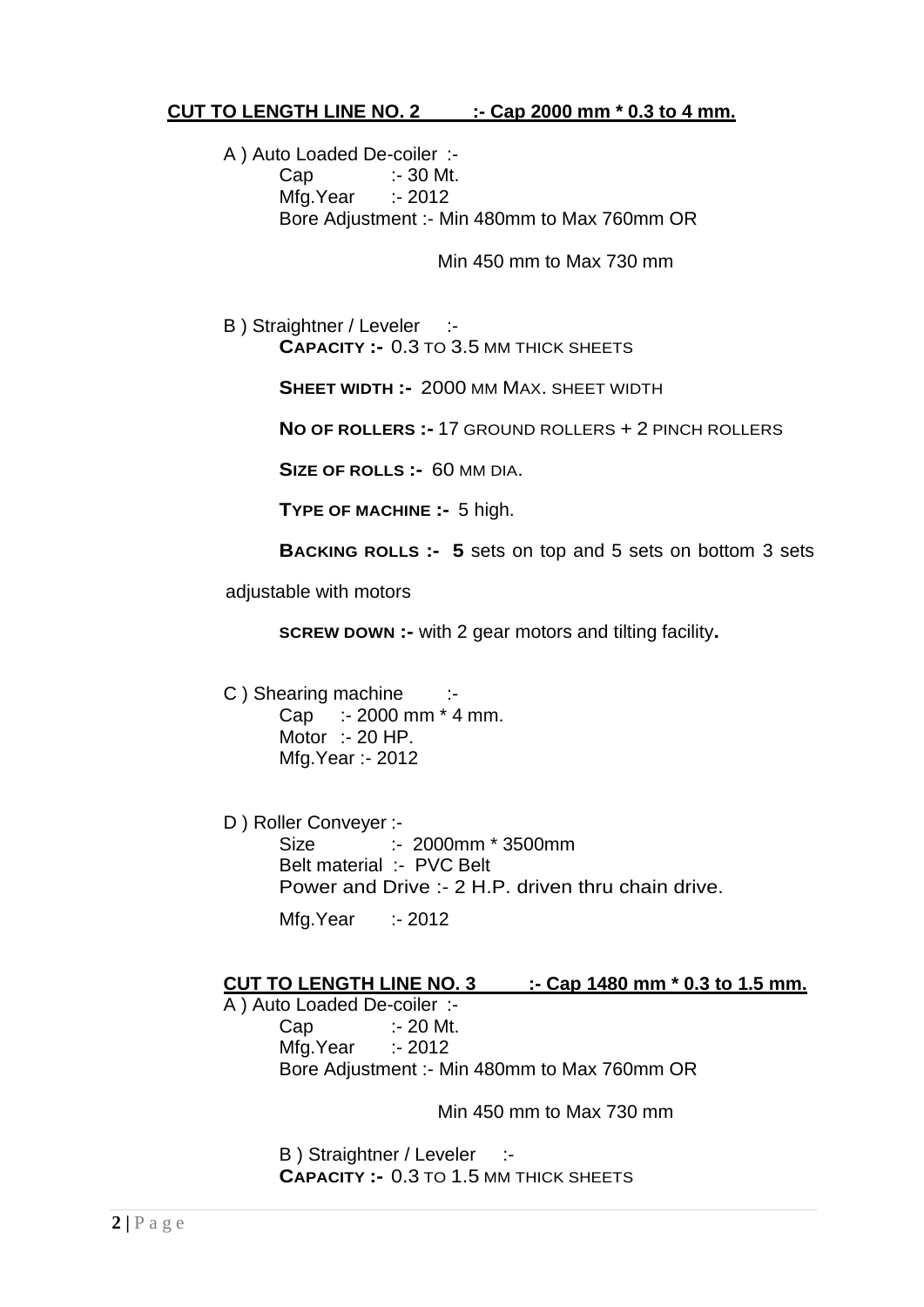## **CUT TO LENGTH LINE NO. 2 :- Cap 2000 mm \* 0.3 to 4 mm.**

A ) Auto Loaded De-coiler :- Cap :- 30 Mt. Mfg.Year :- 2012 Bore Adjustment :- Min 480mm to Max 760mm OR

Min 450 mm to Max 730 mm

B ) Straightner / Leveler :-**CAPACITY :-** 0.3 TO 3.5 MM THICK SHEETS

**SHEET WIDTH :-** 2000 MM MAX. SHEET WIDTH

**NO OF ROLLERS :-** 17 GROUND ROLLERS + 2 PINCH ROLLERS

**SIZE OF ROLLS :-** 60 MM DIA.

**TYPE OF MACHINE :-** 5 high.

**BACKING ROLLS :- 5** sets on top and 5 sets on bottom 3 sets

adjustable with motors

**SCREW DOWN :-** with 2 gear motors and tilting facility**.**

- C ) Shearing machine :-Cap :- 2000 mm \* 4 mm. Motor :- 20 HP. Mfg.Year :- 2012
- D ) Roller Conveyer :- Size :- 2000mm \* 3500mm Belt material :- PVC Belt Power and Drive :- 2 H.P. driven thru chain drive. Mfg.Year :- 2012

#### **CUT TO LENGTH LINE NO. 3 :- Cap 1480 mm \* 0.3 to 1.5 mm.**

A ) Auto Loaded De-coiler :- Cap :- 20 Mt. Mfg.Year :- 2012 Bore Adjustment :- Min 480mm to Max 760mm OR

Min 450 mm to Max 730 mm

B) Straightner / Leveler :-**CAPACITY :-** 0.3 TO 1.5 MM THICK SHEETS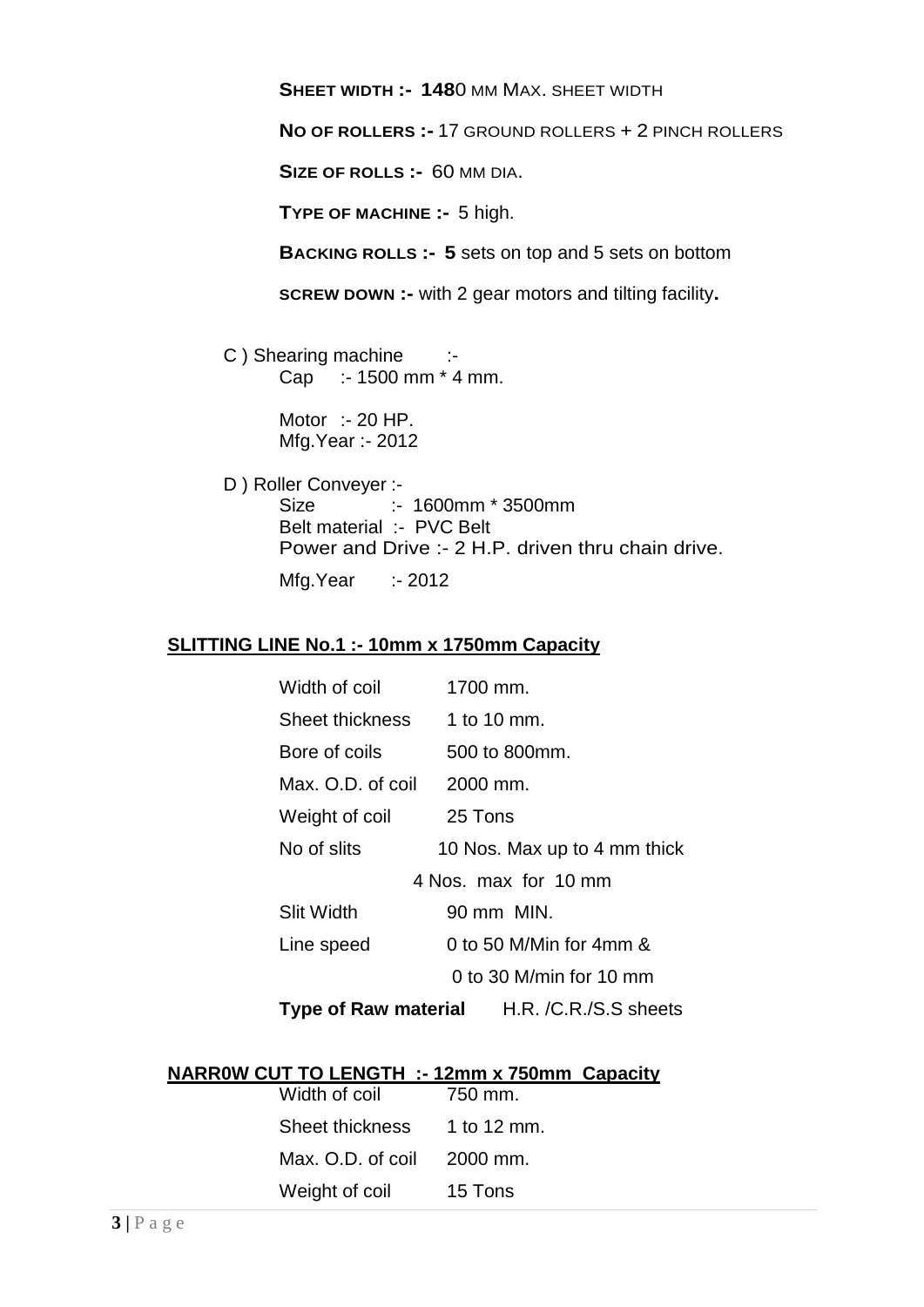**SHEET WIDTH :- 148**0 MM MAX. SHEET WIDTH

**NO OF ROLLERS :-** 17 GROUND ROLLERS + 2 PINCH ROLLERS

**SIZE OF ROLLS :-** 60 MM DIA.

**TYPE OF MACHINE :-** 5 high.

**BACKING ROLLS :- 5** sets on top and 5 sets on bottom

**SCREW DOWN :-** with 2 gear motors and tilting facility**.**

C ) Shearing machine :-Cap :- 1500 mm \* 4 mm.

> Motor :- 20 HP. Mfg.Year :- 2012

D ) Roller Conveyer :- Size :- 1600mm \* 3500mm Belt material :- PVC Belt Power and Drive :- 2 H.P. driven thru chain drive. Mfg.Year :- 2012

## **SLITTING LINE No.1 :- 10mm x 1750mm Capacity**

| Width of coil        | 1700 mm.                                   |
|----------------------|--------------------------------------------|
| Sheet thickness      | 1 to 10 mm.                                |
| Bore of coils        | 500 to 800mm.                              |
| Max. O.D. of coil    | 2000 mm.                                   |
| Weight of coil       | 25 Tons                                    |
| No of slits          | 10 Nos. Max up to 4 mm thick               |
| 4 Nos. max for 10 mm |                                            |
| <b>Slit Width</b>    | 90 mm MIN.                                 |
| Line speed           | 0 to 50 M/Min for 4mm &                    |
|                      | 0 to 30 M/min for 10 mm                    |
|                      | Type of Raw material H.R. /C.R./S.S sheets |

# **NARR0W CUT TO LENGTH :- 12mm x 750mm Capacity**

| Width of coil     | 750 mm.     |
|-------------------|-------------|
| Sheet thickness   | 1 to 12 mm. |
| Max. O.D. of coil | 2000 mm.    |
| Weight of coil    | 15 Tons     |